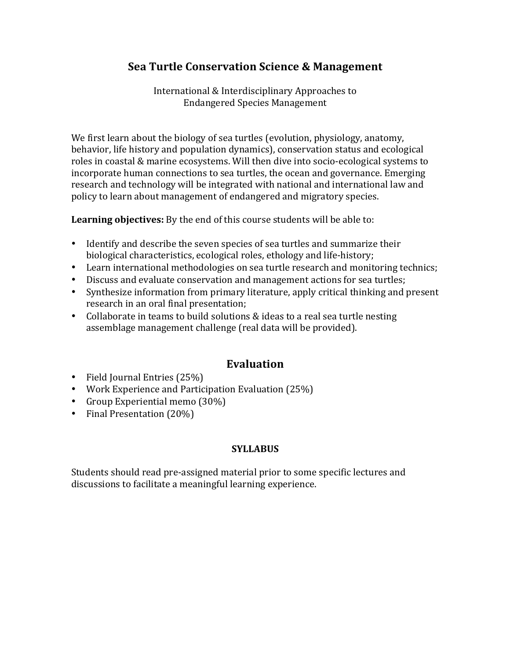## **Sea Turtle Conservation Science & Management**

International & Interdisciplinary Approaches to Endangered Species Management

We first learn about the biology of sea turtles (evolution, physiology, anatomy, behavior, life history and population dynamics), conservation status and ecological roles in coastal & marine ecosystems. Will then dive into socio-ecological systems to incorporate human connections to sea turtles, the ocean and governance. Emerging research and technology will be integrated with national and international law and policy to learn about management of endangered and migratory species.

**Learning objectives:** By the end of this course students will be able to:

- Identify and describe the seven species of sea turtles and summarize their biological characteristics, ecological roles, ethology and life-history;
- Learn international methodologies on sea turtle research and monitoring technics;
- Discuss and evaluate conservation and management actions for sea turtles;
- Synthesize information from primary literature, apply critical thinking and present research in an oral final presentation;
- Collaborate in teams to build solutions & ideas to a real sea turtle nesting assemblage management challenge (real data will be provided).

## **Evaluation**

- Field Journal Entries  $(25%)$
- Work Experience and Participation Evaluation (25%)
- Group Experiential memo  $(30\%)$
- Final Presentation (20%)

## **SYLLABUS**

Students should read pre-assigned material prior to some specific lectures and discussions to facilitate a meaningful learning experience.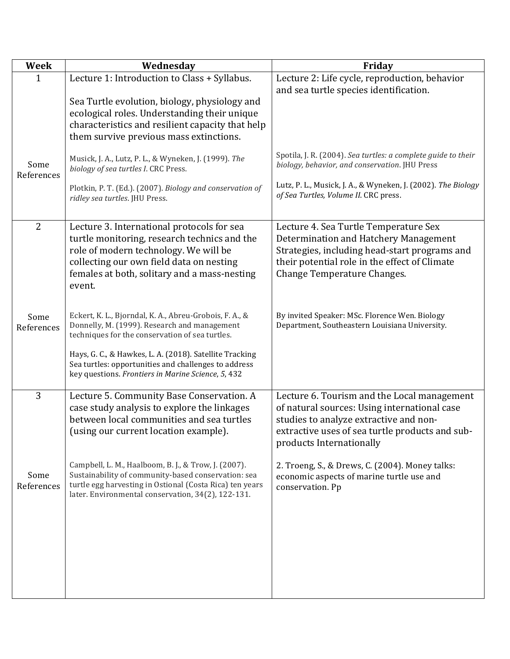| <b>Week</b>        | Wednesday                                                                                                                                                  | Friday                                                                                                          |
|--------------------|------------------------------------------------------------------------------------------------------------------------------------------------------------|-----------------------------------------------------------------------------------------------------------------|
| 1                  | Lecture 1: Introduction to Class + Syllabus.                                                                                                               | Lecture 2: Life cycle, reproduction, behavior                                                                   |
|                    |                                                                                                                                                            | and sea turtle species identification.                                                                          |
|                    | Sea Turtle evolution, biology, physiology and                                                                                                              |                                                                                                                 |
|                    | ecological roles. Understanding their unique                                                                                                               |                                                                                                                 |
|                    | characteristics and resilient capacity that help                                                                                                           |                                                                                                                 |
|                    | them survive previous mass extinctions.                                                                                                                    |                                                                                                                 |
| Some<br>References | Musick, J. A., Lutz, P. L., & Wyneken, J. (1999). The<br>biology of sea turtles I. CRC Press.                                                              | Spotila, J. R. (2004). Sea turtles: a complete guide to their<br>biology, behavior, and conservation. JHU Press |
|                    | Plotkin, P. T. (Ed.). (2007). Biology and conservation of<br>ridley sea turtles. JHU Press.                                                                | Lutz, P. L., Musick, J. A., & Wyneken, J. (2002). The Biology<br>of Sea Turtles, Volume II. CRC press.          |
|                    |                                                                                                                                                            |                                                                                                                 |
| $\overline{2}$     | Lecture 3. International protocols for sea<br>turtle monitoring, research technics and the                                                                 | Lecture 4. Sea Turtle Temperature Sex<br>Determination and Hatchery Management                                  |
|                    | role of modern technology. We will be                                                                                                                      | Strategies, including head-start programs and                                                                   |
|                    | collecting our own field data on nesting                                                                                                                   | their potential role in the effect of Climate                                                                   |
|                    | females at both, solitary and a mass-nesting                                                                                                               | Change Temperature Changes.                                                                                     |
|                    | event.                                                                                                                                                     |                                                                                                                 |
|                    |                                                                                                                                                            |                                                                                                                 |
| Some<br>References | Eckert, K. L., Bjorndal, K. A., Abreu-Grobois, F. A., &<br>Donnelly, M. (1999). Research and management<br>techniques for the conservation of sea turtles. | By invited Speaker: MSc. Florence Wen. Biology<br>Department, Southeastern Louisiana University.                |
|                    | Hays, G. C., & Hawkes, L. A. (2018). Satellite Tracking<br>Sea turtles: opportunities and challenges to address                                            |                                                                                                                 |
|                    | key questions. Frontiers in Marine Science, 5, 432                                                                                                         |                                                                                                                 |
| 3                  | Lecture 5. Community Base Conservation. A                                                                                                                  | Lecture 6. Tourism and the Local management                                                                     |
|                    | case study analysis to explore the linkages                                                                                                                | of natural sources: Using international case                                                                    |
|                    | between local communities and sea turtles                                                                                                                  | studies to analyze extractive and non-                                                                          |
|                    | (using our current location example).                                                                                                                      | extractive uses of sea turtle products and sub-<br>products Internationally                                     |
| Some               | Campbell, L. M., Haalboom, B. J., & Trow, J. (2007).<br>Sustainability of community-based conservation: sea                                                | 2. Troeng, S., & Drews, C. (2004). Money talks:<br>economic aspects of marine turtle use and                    |
| References         | turtle egg harvesting in Ostional (Costa Rica) ten years<br>later. Environmental conservation, 34(2), 122-131.                                             | conservation. Pp                                                                                                |
|                    |                                                                                                                                                            |                                                                                                                 |
|                    |                                                                                                                                                            |                                                                                                                 |
|                    |                                                                                                                                                            |                                                                                                                 |
|                    |                                                                                                                                                            |                                                                                                                 |
|                    |                                                                                                                                                            |                                                                                                                 |
|                    |                                                                                                                                                            |                                                                                                                 |
|                    |                                                                                                                                                            |                                                                                                                 |